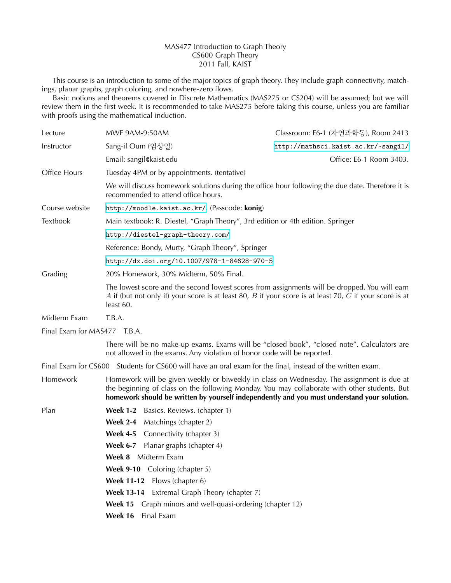## MAS477 Introduction to Graph Theory CS600 Graph Theory 2011 Fall, KAIST

This course is an introduction to some of the major topics of graph theory. They include graph connectivity, matchings, planar graphs, graph coloring, and nowhere-zero flows.

Basic notions and theorems covered in Discrete Mathematics (MAS275 or CS204) will be assumed; but we will review them in the first week. It is recommended to take MAS275 before taking this course, unless you are familiar with proofs using the mathematical induction.

| Lecture                      | MWF 9AM-9:50AM                                                                                                                                                                                                                                                                           | Classroom: E6-1 (자연과학동), Room 2413                                                    |
|------------------------------|------------------------------------------------------------------------------------------------------------------------------------------------------------------------------------------------------------------------------------------------------------------------------------------|---------------------------------------------------------------------------------------|
| Instructor                   | Sang-il Oum (엄상일)                                                                                                                                                                                                                                                                        | http://mathsci.kaist.ac.kr/~sangil/                                                   |
|                              | Email: sangil@kaist.edu                                                                                                                                                                                                                                                                  | Office: E6-1 Room 3403.                                                               |
| Office Hours                 | Tuesday 4PM or by appointments. (tentative)                                                                                                                                                                                                                                              |                                                                                       |
|                              | We will discuss homework solutions during the office hour following the due date. Therefore it is<br>recommended to attend office hours.                                                                                                                                                 |                                                                                       |
| Course website               | http://moodle.kaist.ac.kr/. (Passcode: konig)                                                                                                                                                                                                                                            |                                                                                       |
| Textbook                     | Main textbook: R. Diestel, "Graph Theory", 3rd edition or 4th edition. Springer                                                                                                                                                                                                          |                                                                                       |
|                              | http://diestel-graph-theory.com/                                                                                                                                                                                                                                                         |                                                                                       |
|                              | Reference: Bondy, Murty, "Graph Theory", Springer                                                                                                                                                                                                                                        |                                                                                       |
|                              | http://dx.doi.org/10.1007/978-1-84628-970-5                                                                                                                                                                                                                                              |                                                                                       |
| Grading                      | 20% Homework, 30% Midterm, 50% Final.                                                                                                                                                                                                                                                    |                                                                                       |
|                              | The lowest score and the second lowest scores from assignments will be dropped. You will earn<br>A if (but not only if) your score is at least 80, B if your score is at least 70, C if your score is at<br>least 60.                                                                    |                                                                                       |
| Midterm Exam                 | T.B.A.                                                                                                                                                                                                                                                                                   |                                                                                       |
| Final Exam for MAS477 T.B.A. |                                                                                                                                                                                                                                                                                          |                                                                                       |
|                              | There will be no make-up exams. Exams will be "closed book", "closed note". Calculators are<br>not allowed in the exams. Any violation of honor code will be reported.                                                                                                                   |                                                                                       |
| Final Exam for CS600         |                                                                                                                                                                                                                                                                                          | Students for CS600 will have an oral exam for the final, instead of the written exam. |
| Homework                     | Homework will be given weekly or biweekly in class on Wednesday. The assignment is due at<br>the beginning of class on the following Monday. You may collaborate with other students. But<br>homework should be written by yourself independently and you must understand your solution. |                                                                                       |
| Plan                         | <b>Week 1-2</b><br>Basics. Reviews. (chapter 1)                                                                                                                                                                                                                                          |                                                                                       |
|                              | <b>Week 2-4</b><br>Matchings (chapter 2)                                                                                                                                                                                                                                                 |                                                                                       |
|                              | <b>Week 4-5</b> Connectivity (chapter 3)                                                                                                                                                                                                                                                 |                                                                                       |
|                              | <b>Week 6-7</b> Planar graphs (chapter 4)                                                                                                                                                                                                                                                |                                                                                       |
|                              | Week 8 Midterm Exam                                                                                                                                                                                                                                                                      |                                                                                       |
|                              | Coloring (chapter 5)<br><b>Week 9-10</b>                                                                                                                                                                                                                                                 |                                                                                       |
|                              | Flows (chapter 6)<br><b>Week 11-12</b>                                                                                                                                                                                                                                                   |                                                                                       |
|                              | Extremal Graph Theory (chapter 7)<br><b>Week 13-14</b>                                                                                                                                                                                                                                   |                                                                                       |
|                              | Week 15<br>Graph minors and well-quasi-ordering (chapter 12)                                                                                                                                                                                                                             |                                                                                       |
|                              | Final Exam<br>Week 16                                                                                                                                                                                                                                                                    |                                                                                       |